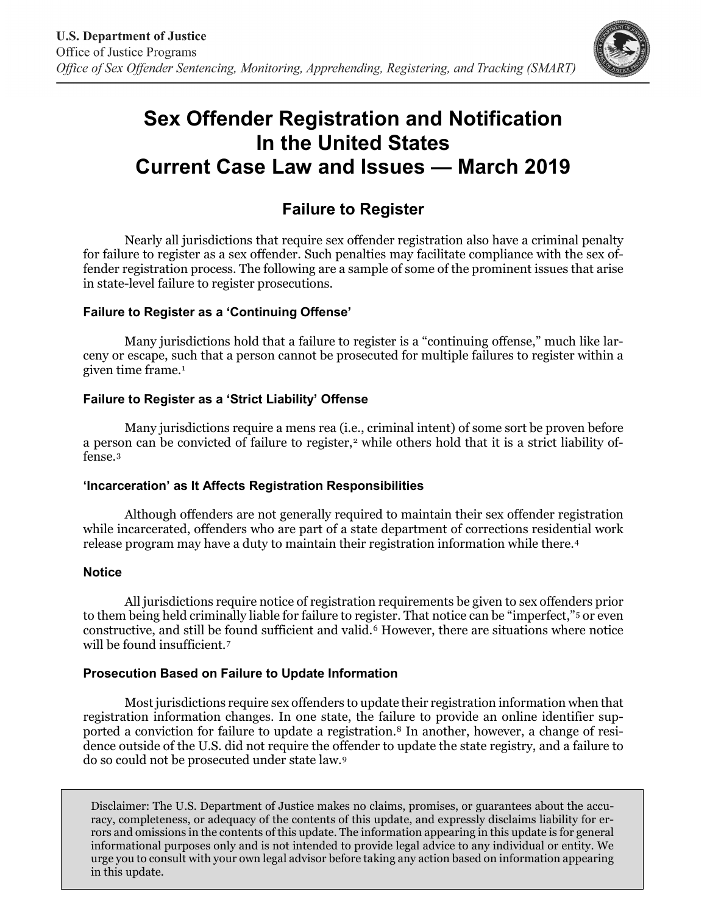

# **Sex Offender Registration and Notification In the United States Current Case Law and Issues — March 2019**

# **Failure to Register**

Nearly all jurisdictions that require sex offender registration also have a criminal penalty for failure to register as a sex offender. Such penalties may facilitate compliance with the sex offender registration process. The following are a sample of some of the prominent issues that arise in state-level failure to register prosecutions.

## **Failure to Register as a 'Continuing Offense'**

Many jurisdictions hold that a failure to register is a "continuing offense," much like larceny or escape, such that a person cannot be prosecuted for multiple failures to register within a given time frame.<sup>[1](#page-1-0)</sup>

## **Failure to Register as a 'Strict Liability' Offense**

Many jurisdictions require a mens rea (i.e., criminal intent) of some sort be proven before a person can be convicted of failure to register,<sup>[2](#page-1-1)</sup> while others hold that it is a strict liability offense.[3](#page-1-2)

#### **'Incarceration' as It Affects Registration Responsibilities**

Although offenders are not generally required to maintain their sex offender registration while incarcerated, offenders who are part of a state department of corrections residential work release program may have a duty to maintain their registration information while there.[4](#page-1-3)

#### **Notice**

All jurisdictions require notice of registration requirements be given to sex offenders prior to them being held criminally liable for failure to register. That notice can be "imperfect,"[5](#page-1-4) or even constructive, and still be found sufficient and valid.[6](#page-1-5) However, there are situations where notice will be found insufficient.<sup>[7](#page-1-6)</sup>

#### **Prosecution Based on Failure to Update Information**

Most jurisdictions require sex offenders to update their registration information when that registration information changes. In one state, the failure to provide an online identifier supported a conviction for failure to update a registration.[8](#page-1-7) In another, however, a change of residence outside of the U.S. did not require the offender to update the state registry, and a failure to do so could not be prosecuted under state law.[9](#page-1-8)

Disclaimer: The U.S. Department of Justice makes no claims, promises, or guarantees about the accuracy, completeness, or adequacy of the contents of this update, and expressly disclaims liability for errors and omissions in the contents of this update. The information appearing in this update is for general informational purposes only and is not intended to provide legal advice to any individual or entity. We urge you to consult with your own legal advisor before taking any action based on information appearing in this update.